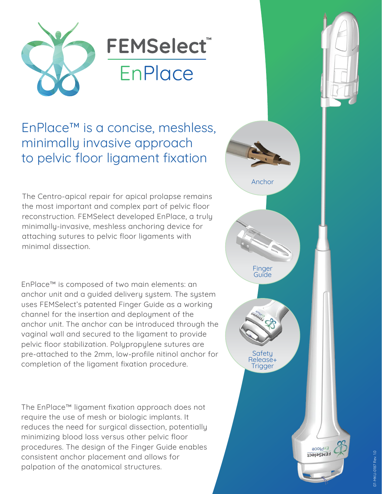

# **FEMSelect**® **EnPlace**

# EnPlace™ is a concise, meshless, minimally invasive approach to pelvic floor ligament fixation

The Centro-apical repair for apical prolapse remains the most important and complex part of pelvic floor reconstruction. FEMSelect developed EnPlace, a truly minimally-invasive, meshless anchoring device for attaching sutures to pelvic floor ligaments with minimal dissection.

EnPlace™ is composed of two main elements: an anchor unit and a guided delivery system. The system uses FEMSelect's patented Finger Guide as a working channel for the insertion and deployment of the anchor unit. The anchor can be introduced through the vaginal wall and secured to the ligament to provide pelvic floor stabilization. Polypropylene sutures are pre-attached to the 2mm, low-profile nitinol anchor for completion of the ligament fixation procedure.

The EnPlace™ ligament fixation approach does not require the use of mesh or biologic implants. It reduces the need for surgical dissection, potentially minimizing blood loss versus other pelvic floor procedures. The design of the Finger Guide enables consistent anchor placement and allows for palpation of the anatomical structures.